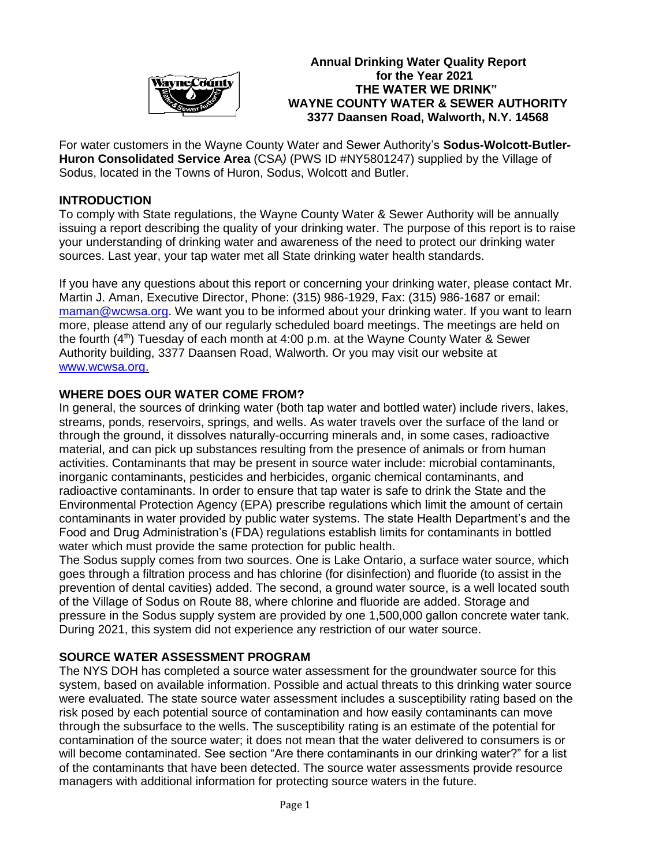

#### **Annual Drinking Water Quality Report** *MayneCounty* for the Year 2021  **THE WATER WE DRINK" WAYNE COUNTY WATER & SEWER AUTHORITY 3377 Daansen Road, Walworth, N.Y. 14568**

For water customers in the Wayne County Water and Sewer Authority's **Sodus-Wolcott-Butler-Huron Consolidated Service Area** (CSA*)* (PWS ID #NY5801247) supplied by the Village of Sodus, located in the Towns of Huron, Sodus, Wolcott and Butler.

#### **INTRODUCTION**

To comply with State regulations, the Wayne County Water & Sewer Authority will be annually issuing a report describing the quality of your drinking water. The purpose of this report is to raise your understanding of drinking water and awareness of the need to protect our drinking water sources. Last year, your tap water met all State drinking water health standards.

If you have any questions about this report or concerning your drinking water, please contact Mr. Martin J. Aman, Executive Director, Phone: (315) 986-1929, Fax: (315) 986-1687 or email: [maman@wcwsa.org.](mailto:maman@wcwsa.org) We want you to be informed about your drinking water. If you want to learn more, please attend any of our regularly scheduled board meetings. The meetings are held on the fourth  $(4<sup>th</sup>)$  Tuesday of each month at  $4:00$  p.m. at the Wayne County Water & Sewer Authority building, 3377 Daansen Road, Walworth. Or you may visit our website at [www.wcwsa.org.](http://www.wcwsa.org/)

#### **WHERE DOES OUR WATER COME FROM?**

In general, the sources of drinking water (both tap water and bottled water) include rivers, lakes, streams, ponds, reservoirs, springs, and wells. As water travels over the surface of the land or through the ground, it dissolves naturally-occurring minerals and, in some cases, radioactive material, and can pick up substances resulting from the presence of animals or from human activities. Contaminants that may be present in source water include: microbial contaminants, inorganic contaminants, pesticides and herbicides, organic chemical contaminants, and radioactive contaminants. In order to ensure that tap water is safe to drink the State and the Environmental Protection Agency (EPA) prescribe regulations which limit the amount of certain contaminants in water provided by public water systems. The state Health Department's and the Food and Drug Administration's (FDA) regulations establish limits for contaminants in bottled water which must provide the same protection for public health.

The Sodus supply comes from two sources. One is Lake Ontario, a surface water source, which goes through a filtration process and has chlorine (for disinfection) and fluoride (to assist in the prevention of dental cavities) added. The second, a ground water source, is a well located south of the Village of Sodus on Route 88, where chlorine and fluoride are added. Storage and pressure in the Sodus supply system are provided by one 1,500,000 gallon concrete water tank. During 2021, this system did not experience any restriction of our water source.

## **SOURCE WATER ASSESSMENT PROGRAM**

The NYS DOH has completed a source water assessment for the groundwater source for this system, based on available information. Possible and actual threats to this drinking water source were evaluated. The state source water assessment includes a susceptibility rating based on the risk posed by each potential source of contamination and how easily contaminants can move through the subsurface to the wells. The susceptibility rating is an estimate of the potential for contamination of the source water; it does not mean that the water delivered to consumers is or will become contaminated. See section "Are there contaminants in our drinking water?" for a list of the contaminants that have been detected. The source water assessments provide resource managers with additional information for protecting source waters in the future.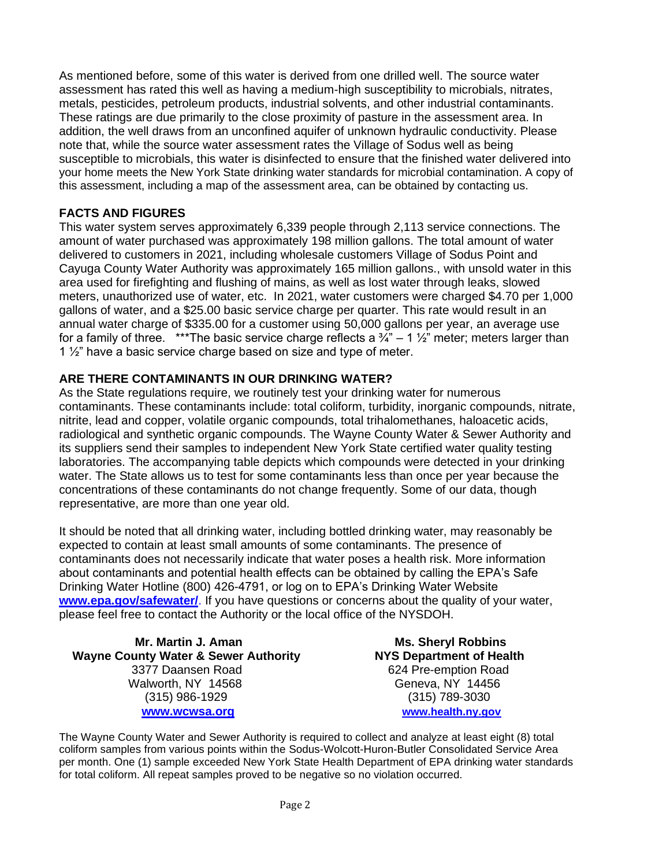As mentioned before, some of this water is derived from one drilled well. The source water assessment has rated this well as having a medium-high susceptibility to microbials, nitrates, metals, pesticides, petroleum products, industrial solvents, and other industrial contaminants. These ratings are due primarily to the close proximity of pasture in the assessment area. In addition, the well draws from an unconfined aquifer of unknown hydraulic conductivity. Please note that, while the source water assessment rates the Village of Sodus well as being susceptible to microbials, this water is disinfected to ensure that the finished water delivered into your home meets the New York State drinking water standards for microbial contamination. A copy of this assessment, including a map of the assessment area, can be obtained by contacting us.

#### **FACTS AND FIGURES**

This water system serves approximately 6,339 people through 2,113 service connections. The amount of water purchased was approximately 198 million gallons. The total amount of water delivered to customers in 2021, including wholesale customers Village of Sodus Point and Cayuga County Water Authority was approximately 165 million gallons., with unsold water in this area used for firefighting and flushing of mains, as well as lost water through leaks, slowed meters, unauthorized use of water, etc. In 2021, water customers were charged \$4.70 per 1,000 gallons of water, and a \$25.00 basic service charge per quarter. This rate would result in an annual water charge of \$335.00 for a customer using 50,000 gallons per year, an average use for a family of three. \*\*\*The basic service charge reflects a  $\frac{3}{4}$ " – 1  $\frac{1}{2}$ " meter; meters larger than 1  $\frac{1}{2}$ " have a basic service charge based on size and type of meter.

## **ARE THERE CONTAMINANTS IN OUR DRINKING WATER?**

As the State regulations require, we routinely test your drinking water for numerous contaminants. These contaminants include: total coliform, turbidity, inorganic compounds, nitrate, nitrite, lead and copper, volatile organic compounds, total trihalomethanes, haloacetic acids, radiological and synthetic organic compounds. The Wayne County Water & Sewer Authority and its suppliers send their samples to independent New York State certified water quality testing laboratories. The accompanying table depicts which compounds were detected in your drinking water. The State allows us to test for some contaminants less than once per year because the concentrations of these contaminants do not change frequently. Some of our data, though representative, are more than one year old.

It should be noted that all drinking water, including bottled drinking water, may reasonably be expected to contain at least small amounts of some contaminants. The presence of contaminants does not necessarily indicate that water poses a health risk. More information about contaminants and potential health effects can be obtained by calling the EPA's Safe Drinking Water Hotline (800) 426-4791, or log on to EPA's Drinking Water Website **[www.epa.gov/safewater/](http://www.epa.gov/safewater/)**. If you have questions or concerns about the quality of your water, please feel free to contact the Authority or the local office of the NYSDOH.

 **Mr. Martin J. Aman Ms. Sheryl Robbins Wayne County Water & Sewer Authority MYS Department of Health**  3377 Daansen Road 624 Pre-emption Road Walworth, NY 14568 Geneva, NY 14456 (315) 986-1929 (315) 789-3030  **[www.wcwsa.](http://www.wcwsa/)org [www.health.ny.gov](http://www.health.ny.gov/)**

The Wayne County Water and Sewer Authority is required to collect and analyze at least eight (8) total coliform samples from various points within the Sodus-Wolcott-Huron-Butler Consolidated Service Area per month. One (1) sample exceeded New York State Health Department of EPA drinking water standards for total coliform. All repeat samples proved to be negative so no violation occurred.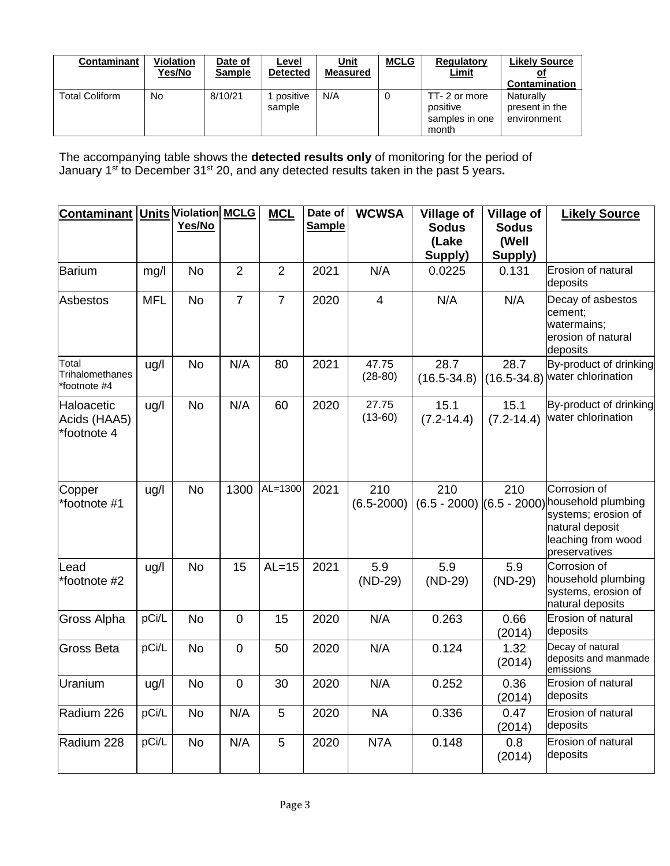| <b>Contaminant</b>    | <b>Violation</b><br>Yes/No | Date of<br><b>Sample</b> | Level<br><b>Detected</b> | <u>Unit</u><br>Measured | <b>MCLG</b> | <b>Regulatory</b><br><u>Limit</u>                   | <b>Likely Source</b><br>Contamination      |
|-----------------------|----------------------------|--------------------------|--------------------------|-------------------------|-------------|-----------------------------------------------------|--------------------------------------------|
| <b>Total Coliform</b> | No                         | 8/10/21                  | positive<br>sample       | N/A                     |             | TT-2 or more<br>positive<br>samples in one<br>month | Naturally<br>present in the<br>environment |

The accompanying table shows the **detected results only** of monitoring for the period of January 1<sup>st</sup> to December 31<sup>st</sup> 20, and any detected results taken in the past 5 years.

| <b>Contaminant Units Violation MCLG</b>   |            | Yes/No    |                | <b>MCL</b>     | Date of<br><b>Sample</b> | <b>WCWSA</b>          | <b>Village of</b><br><b>Sodus</b><br>(Lake | <b>Village of</b><br><b>Sodus</b><br>(Well | <b>Likely Source</b>                                                                                                                          |
|-------------------------------------------|------------|-----------|----------------|----------------|--------------------------|-----------------------|--------------------------------------------|--------------------------------------------|-----------------------------------------------------------------------------------------------------------------------------------------------|
|                                           |            |           |                |                |                          |                       | Supply)                                    | Supply)                                    |                                                                                                                                               |
| Barium                                    | mg/l       | <b>No</b> | $\overline{2}$ | $\overline{2}$ | 2021                     | N/A                   | 0.0225                                     | 0.131                                      | Erosion of natural<br>deposits                                                                                                                |
| Asbestos                                  | <b>MFL</b> | <b>No</b> | $\overline{7}$ | $\overline{7}$ | 2020                     | 4                     | N/A                                        | N/A                                        | Decay of asbestos<br>cement;<br>watermains;<br>erosion of natural<br>deposits                                                                 |
| Total<br>Trihalomethanes<br>*footnote #4  | ug/l       | <b>No</b> | N/A            | 80             | 2021                     | 47.75<br>$(28-80)$    | 28.7<br>$(16.5 - 34.8)$                    | 28.7                                       | By-product of drinking<br>(16.5-34.8) water chlorination                                                                                      |
| Haloacetic<br>Acids (HAA5)<br>*footnote 4 | ug/l       | <b>No</b> | N/A            | 60             | 2020                     | 27.75<br>$(13-60)$    | 15.1<br>$(7.2 - 14.4)$                     | 15.1<br>$(7.2 - 14.4)$                     | By-product of drinking<br>water chlorination                                                                                                  |
| Copper<br>*footnote #1                    | ug/l       | <b>No</b> | 1300           | $AL=1300$      | 2021                     | 210<br>$(6.5 - 2000)$ | 210                                        | 210                                        | Corrosion of<br>(6.5 - 2000) (6.5 - 2000) household plumbing<br>systems; erosion of<br>natural deposit<br>leaching from wood<br>preservatives |
| Lead<br>*footnote #2                      | ug/l       | <b>No</b> | 15             | $AL=15$        | 2021                     | 5.9<br>$(ND-29)$      | 5.9<br>$(ND-29)$                           | 5.9<br>$(ND-29)$                           | Corrosion of<br>household plumbing<br>systems, erosion of<br>natural deposits                                                                 |
| Gross Alpha                               | pCi/L      | <b>No</b> | $\mathbf 0$    | 15             | 2020                     | N/A                   | 0.263                                      | 0.66<br>(2014)                             | Erosion of natural<br>deposits                                                                                                                |
| <b>Gross Beta</b>                         | pCi/L      | <b>No</b> | $\mathbf 0$    | 50             | 2020                     | N/A                   | 0.124                                      | 1.32<br>(2014)                             | Decay of natural<br>deposits and manmade<br>emissions                                                                                         |
| Uranium                                   | ug/l       | <b>No</b> | $\mathbf 0$    | 30             | 2020                     | N/A                   | 0.252                                      | 0.36<br>(2014)                             | Erosion of natural<br>deposits                                                                                                                |
| Radium 226                                | pCi/L      | <b>No</b> | N/A            | 5              | 2020                     | <b>NA</b>             | 0.336                                      | 0.47<br>(2014)                             | Erosion of natural<br>deposits                                                                                                                |
| Radium 228                                | pCi/L      | <b>No</b> | N/A            | 5              | 2020                     | N7A                   | 0.148                                      | 0.8<br>(2014)                              | Erosion of natural<br>deposits                                                                                                                |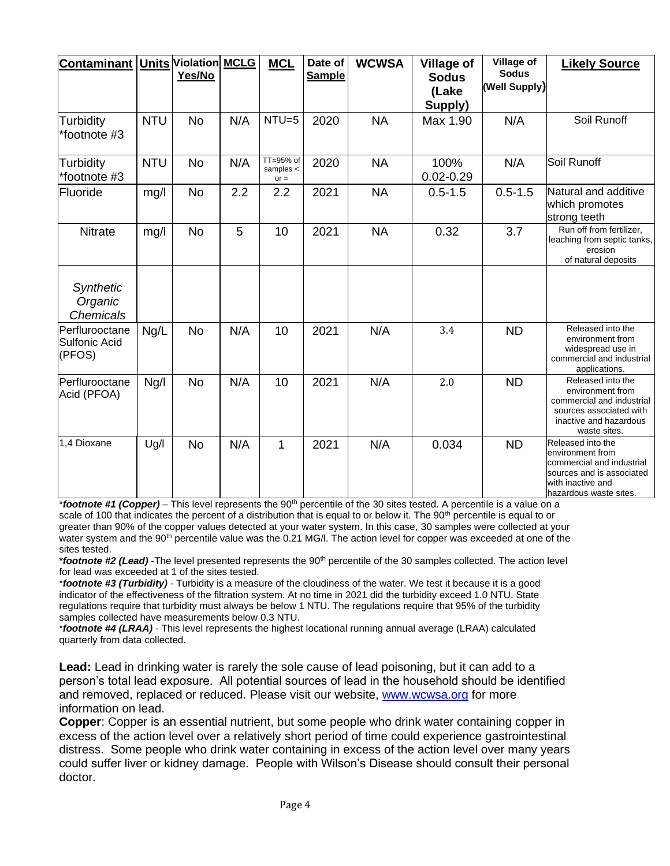| Contaminant                               |            | <b>Units Violation MCLG</b><br>Yes/No |     | <b>MCL</b>                           | Date of<br><b>Sample</b> | <b>WCWSA</b> | <b>Village of</b><br><b>Sodus</b><br>(Lake<br>Supply) | Village of<br><b>Sodus</b><br>(Well Supply) | <b>Likely Source</b>                                                                                                                           |
|-------------------------------------------|------------|---------------------------------------|-----|--------------------------------------|--------------------------|--------------|-------------------------------------------------------|---------------------------------------------|------------------------------------------------------------------------------------------------------------------------------------------------|
| Turbidity<br>*footnote #3                 | <b>NTU</b> | <b>No</b>                             | N/A | $NTU=5$                              | 2020                     | <b>NA</b>    | Max 1.90                                              | N/A                                         | Soil Runoff                                                                                                                                    |
| Turbidity<br>*footnote #3                 | <b>NTU</b> | No                                    | N/A | TT=95% of<br>samples $\lt$<br>$or =$ | 2020                     | <b>NA</b>    | 100%<br>$0.02 - 0.29$                                 | N/A                                         | Soil Runoff                                                                                                                                    |
| Fluoride                                  | mg/l       | <b>No</b>                             | 2.2 | 2.2                                  | 2021                     | <b>NA</b>    | $0.5 - 1.5$                                           | $0.5 - 1.5$                                 | Natural and additive<br>which promotes<br>strong teeth                                                                                         |
| <b>Nitrate</b>                            | mg/l       | No                                    | 5   | 10                                   | 2021                     | <b>NA</b>    | 0.32                                                  | 3.7                                         | Run off from fertilizer.<br>leaching from septic tanks,<br>erosion<br>of natural deposits                                                      |
| Synthetic<br>Organic<br>Chemicals         |            |                                       |     |                                      |                          |              |                                                       |                                             |                                                                                                                                                |
| Perflurooctane<br>Sulfonic Acid<br>(PFOS) | Ng/L       | <b>No</b>                             | N/A | 10                                   | 2021                     | N/A          | 3.4                                                   | <b>ND</b>                                   | Released into the<br>environment from<br>widespread use in<br>commercial and industrial<br>applications.                                       |
| Perflurooctane<br>Acid (PFOA)             | Ng/l       | <b>No</b>                             | N/A | 10                                   | 2021                     | N/A          | 2.0                                                   | <b>ND</b>                                   | Released into the<br>environment from<br>commercial and industrial<br>sources associated with<br>inactive and hazardous<br>waste sites.        |
| 1.4 Dioxane                               | Ug/l       | <b>No</b>                             | N/A | $\mathbf{1}$                         | 2021                     | N/A          | 0.034                                                 | <b>ND</b>                                   | Released into the<br>environment from<br>commercial and industrial<br>sources and is associated<br>with inactive and<br>hazardous waste sites. |

\***footnote #1 (Copper)** – This level represents the 90<sup>th</sup> percentile of the 30 sites tested. A percentile is a value on a scale of 100 that indicates the percent of a distribution that is equal to or below it. The 90<sup>th</sup> percentile is equal to or greater than 90% of the copper values detected at your water system. In this case, 30 samples were collected at your water system and the 90<sup>th</sup> percentile value was the 0.21 MG/l. The action level for copper was exceeded at one of the sites tested.

\***footnote #2 (Lead)** -The level presented represents the 90<sup>th</sup> percentile of the 30 samples collected. The action level for lead was exceeded at 1 of the sites tested.

\**footnote #3 (Turbidity)* - Turbidity is a measure of the cloudiness of the water. We test it because it is a good indicator of the effectiveness of the filtration system. At no time in 2021 did the turbidity exceed 1.0 NTU. State regulations require that turbidity must always be below 1 NTU. The regulations require that 95% of the turbidity samples collected have measurements below 0.3 NTU.

\**footnote #4 (LRAA)* - This level represents the highest locational running annual average (LRAA) calculated quarterly from data collected.

**Lead:** Lead in drinking water is rarely the sole cause of lead poisoning, but it can add to a person's total lead exposure. All potential sources of lead in the household should be identified and removed, replaced or reduced. Please visit our website, [www.wcwsa.org](http://www.wcwsa.org/) for more information on lead.

**Copper**: Copper is an essential nutrient, but some people who drink water containing copper in excess of the action level over a relatively short period of time could experience gastrointestinal distress. Some people who drink water containing in excess of the action level over many years could suffer liver or kidney damage. People with Wilson's Disease should consult their personal doctor.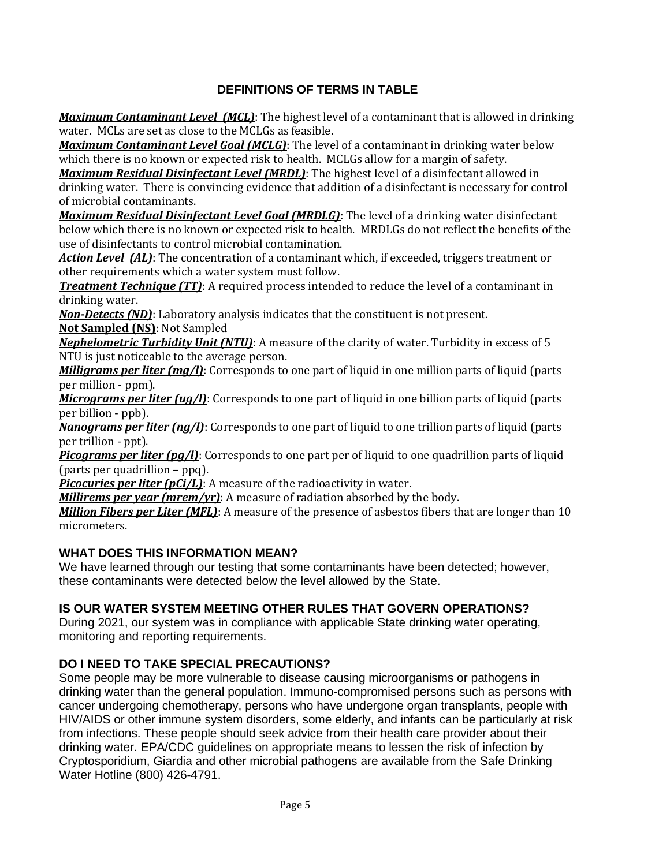# **DEFINITIONS OF TERMS IN TABLE**

*Maximum Contaminant Level (MCL)*: The highest level of a contaminant that is allowed in drinking water. MCLs are set as close to the MCLGs as feasible.

*Maximum Contaminant Level Goal (MCLG)*: The level of a contaminant in drinking water below which there is no known or expected risk to health. MCLGs allow for a margin of safety.

*Maximum Residual Disinfectant Level (MRDL)*: The highest level of a disinfectant allowed in drinking water. There is convincing evidence that addition of a disinfectant is necessary for control of microbial contaminants.

*Maximum Residual Disinfectant Level Goal (MRDLG)*: The level of a drinking water disinfectant below which there is no known or expected risk to health. MRDLGs do not reflect the benefits of the use of disinfectants to control microbial contamination.

*Action Level (AL)*: The concentration of a contaminant which, if exceeded, triggers treatment or other requirements which a water system must follow.

**Treatment Technique (TT)**: A required process intended to reduce the level of a contaminant in drinking water.

*Non-Detects (ND)*: Laboratory analysis indicates that the constituent is not present. **Not Sampled (NS)**: Not Sampled

*Nephelometric Turbidity Unit (NTU)*: A measure of the clarity of water. Turbidity in excess of 5 NTU is just noticeable to the average person.

*Milligrams per liter (mg/l)*: Corresponds to one part of liquid in one million parts of liquid (parts per million - ppm).

*Micrograms per liter (ug/l)*: Corresponds to one part of liquid in one billion parts of liquid (parts per billion - ppb).

*Nanograms per liter (ng/l)*: Corresponds to one part of liquid to one trillion parts of liquid (parts per trillion - ppt).

*Picograms per liter (pg/l)*: Corresponds to one part per of liquid to one quadrillion parts of liquid (parts per quadrillion – ppq).

**Picocuries per liter (pCi/L)**: A measure of the radioactivity in water.

*Millirems per year (mrem/yr)*: A measure of radiation absorbed by the body.

*Million Fibers per Liter (MFL)*: A measure of the presence of asbestos fibers that are longer than 10 micrometers.

## **WHAT DOES THIS INFORMATION MEAN?**

We have learned through our testing that some contaminants have been detected; however, these contaminants were detected below the level allowed by the State.

## **IS OUR WATER SYSTEM MEETING OTHER RULES THAT GOVERN OPERATIONS?**

During 2021, our system was in compliance with applicable State drinking water operating, monitoring and reporting requirements.

## **DO I NEED TO TAKE SPECIAL PRECAUTIONS?**

Some people may be more vulnerable to disease causing microorganisms or pathogens in drinking water than the general population. Immuno-compromised persons such as persons with cancer undergoing chemotherapy, persons who have undergone organ transplants, people with HIV/AIDS or other immune system disorders, some elderly, and infants can be particularly at risk from infections. These people should seek advice from their health care provider about their drinking water. EPA/CDC guidelines on appropriate means to lessen the risk of infection by Cryptosporidium, Giardia and other microbial pathogens are available from the Safe Drinking Water Hotline (800) 426-4791.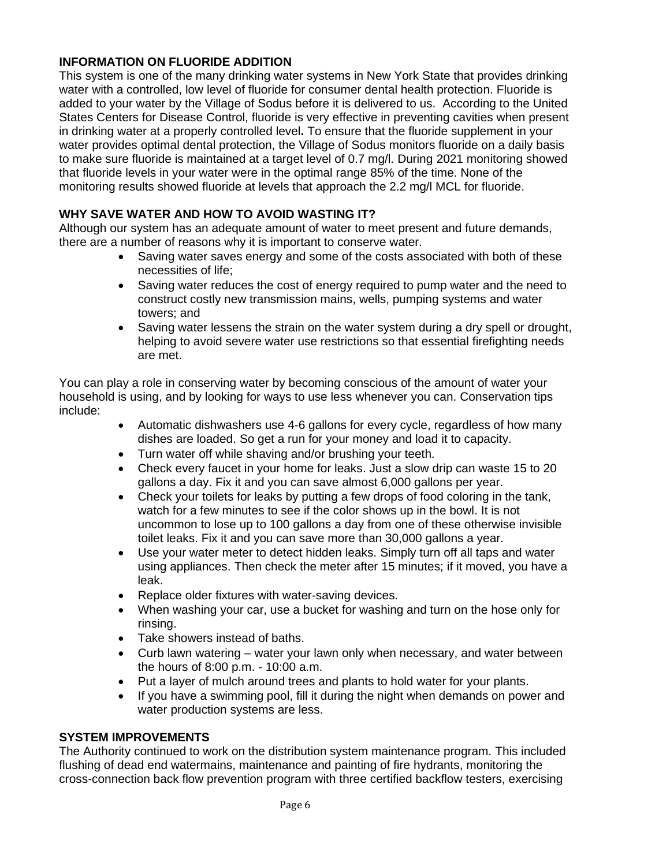## **INFORMATION ON FLUORIDE ADDITION**

This system is one of the many drinking water systems in New York State that provides drinking water with a controlled, low level of fluoride for consumer dental health protection. Fluoride is added to your water by the Village of Sodus before it is delivered to us. According to the United States Centers for Disease Control, fluoride is very effective in preventing cavities when present in drinking water at a properly controlled level**.** To ensure that the fluoride supplement in your water provides optimal dental protection, the Village of Sodus monitors fluoride on a daily basis to make sure fluoride is maintained at a target level of 0.7 mg/l. During 2021 monitoring showed that fluoride levels in your water were in the optimal range 85% of the time. None of the monitoring results showed fluoride at levels that approach the 2.2 mg/l MCL for fluoride.

## **WHY SAVE WATER AND HOW TO AVOID WASTING IT?**

Although our system has an adequate amount of water to meet present and future demands, there are a number of reasons why it is important to conserve water.

- Saving water saves energy and some of the costs associated with both of these necessities of life;
- Saving water reduces the cost of energy required to pump water and the need to construct costly new transmission mains, wells, pumping systems and water towers; and
- Saving water lessens the strain on the water system during a dry spell or drought, helping to avoid severe water use restrictions so that essential firefighting needs are met.

You can play a role in conserving water by becoming conscious of the amount of water your household is using, and by looking for ways to use less whenever you can. Conservation tips include:

- Automatic dishwashers use 4-6 gallons for every cycle, regardless of how many dishes are loaded. So get a run for your money and load it to capacity.
- Turn water off while shaving and/or brushing your teeth.
- Check every faucet in your home for leaks. Just a slow drip can waste 15 to 20 gallons a day. Fix it and you can save almost 6,000 gallons per year.
- Check your toilets for leaks by putting a few drops of food coloring in the tank, watch for a few minutes to see if the color shows up in the bowl. It is not uncommon to lose up to 100 gallons a day from one of these otherwise invisible toilet leaks. Fix it and you can save more than 30,000 gallons a year.
- Use your water meter to detect hidden leaks. Simply turn off all taps and water using appliances. Then check the meter after 15 minutes; if it moved, you have a leak.
- Replace older fixtures with water-saving devices.
- When washing your car, use a bucket for washing and turn on the hose only for rinsing.
- Take showers instead of baths.
- Curb lawn watering water your lawn only when necessary, and water between the hours of 8:00 p.m. - 10:00 a.m.
- Put a layer of mulch around trees and plants to hold water for your plants.
- If you have a swimming pool, fill it during the night when demands on power and water production systems are less.

## **SYSTEM IMPROVEMENTS**

The Authority continued to work on the distribution system maintenance program. This included flushing of dead end watermains, maintenance and painting of fire hydrants, monitoring the cross-connection back flow prevention program with three certified backflow testers, exercising